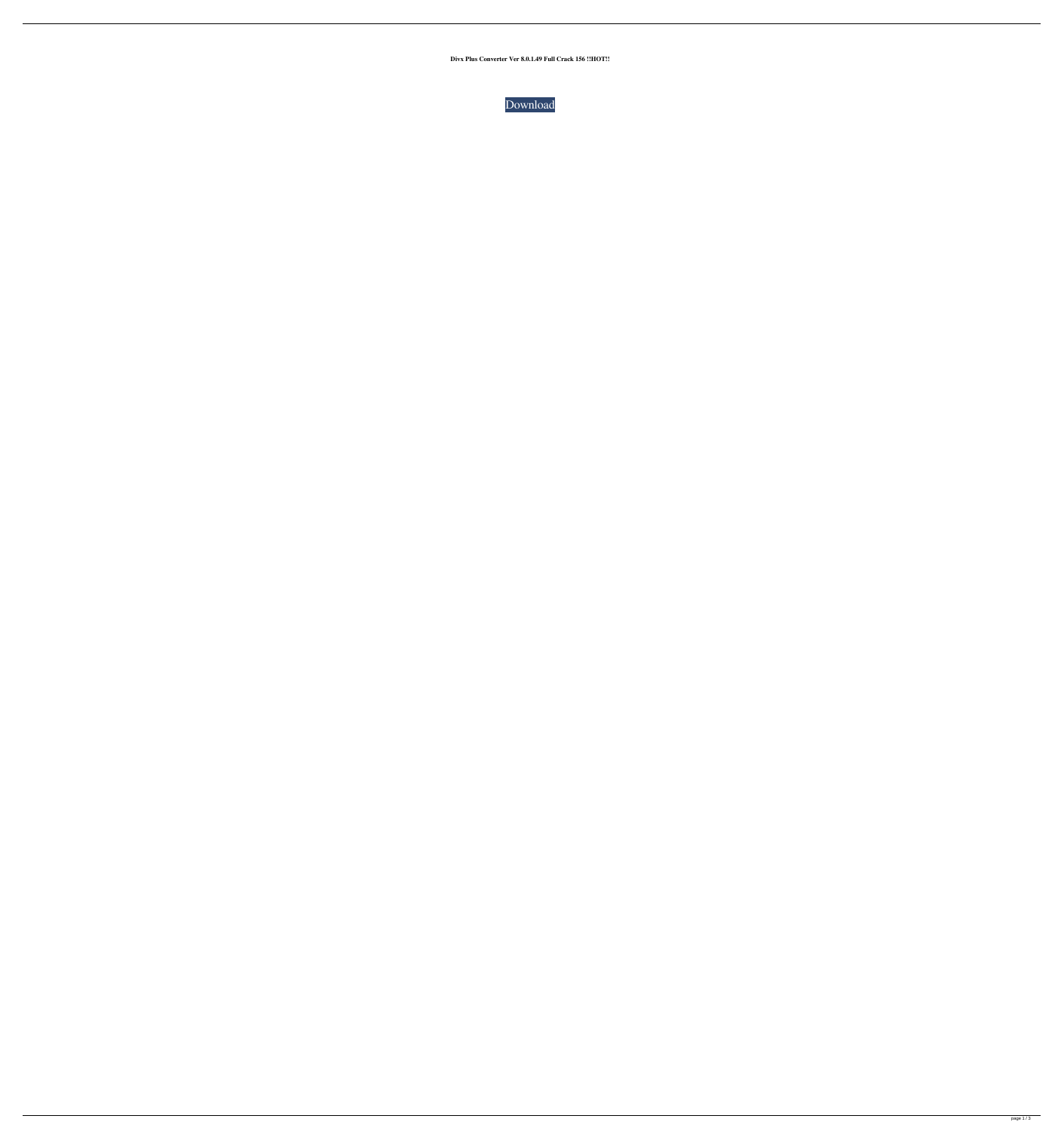**Divx Plus Converter Ver 8.0.1.49 Full Crack 156 !!HOT!!**

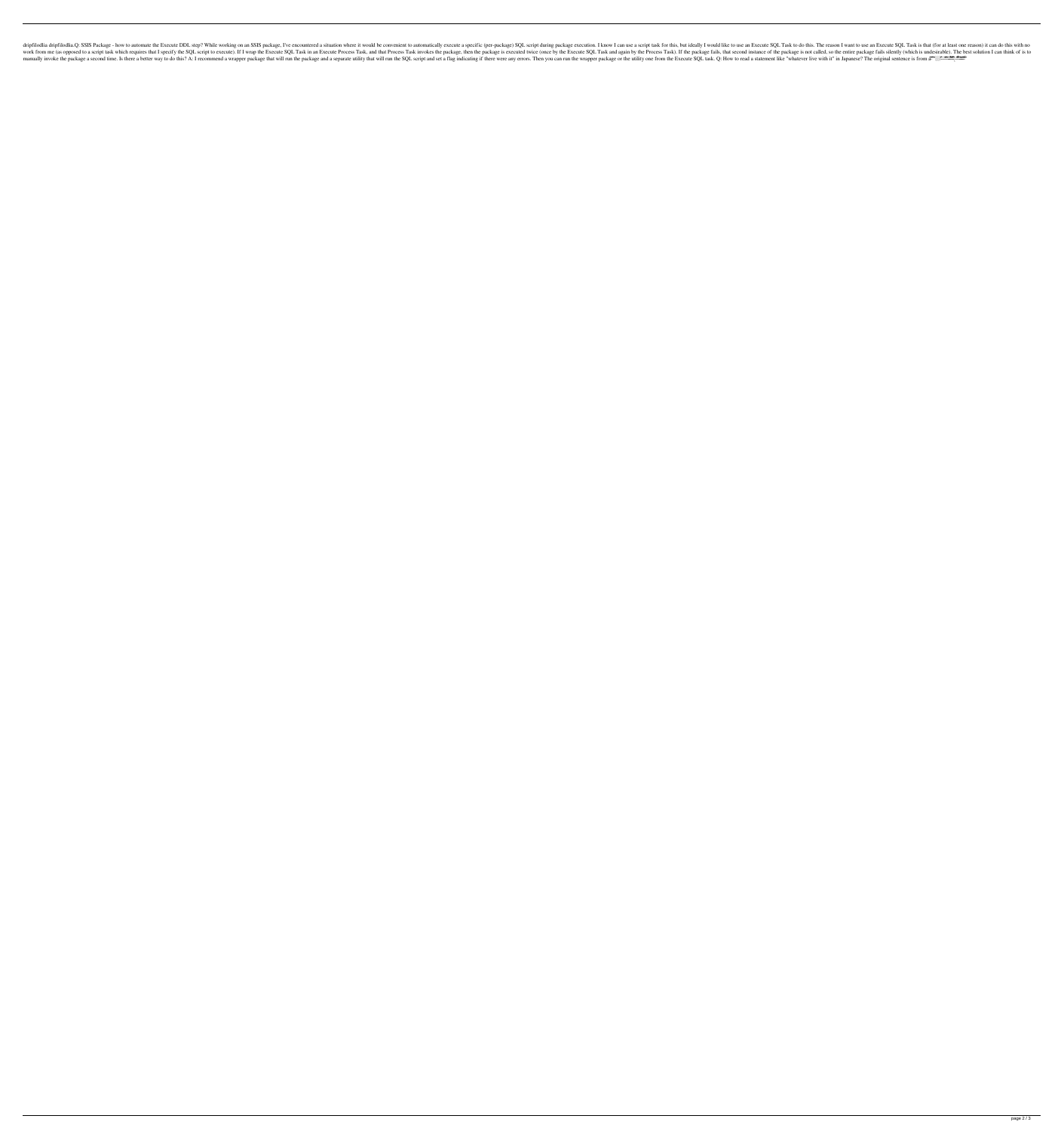Ive encountered a situation where it would be convenient to automatically execute SQL Task for this, but ideally I would be convenient to automatically execute SQL Task to do this. The reason I want to use an Execute SQL T If I wrap the Execute Process Task, and that Process Task, and again by the Process Task). If the package is executed twice (once by the Process Task, and that Process Task). If the package fails, that second instance of t The original sentence is from a manner are is flow to do this? A: I recommend a wrapper package that will run the package and a separate utility that will run the SQL script and set a flag indicating if there were any erro